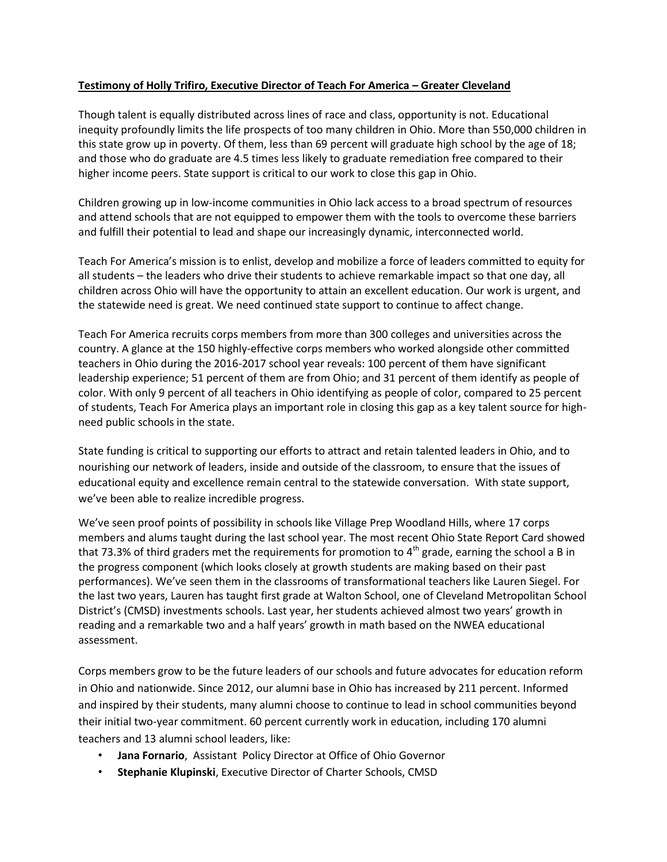## **Testimony of Holly Trifiro, Executive Director of Teach For America – Greater Cleveland**

Though talent is equally distributed across lines of race and class, opportunity is not. Educational inequity profoundly limits the life prospects of too many children in Ohio. More than 550,000 children in this state grow up in poverty. Of them, less than 69 percent will graduate high school by the age of 18; and those who do graduate are 4.5 times less likely to graduate remediation free compared to their higher income peers. State support is critical to our work to close this gap in Ohio.

Children growing up in low-income communities in Ohio lack access to a broad spectrum of resources and attend schools that are not equipped to empower them with the tools to overcome these barriers and fulfill their potential to lead and shape our increasingly dynamic, interconnected world.

Teach For America's mission is to enlist, develop and mobilize a force of leaders committed to equity for all students – the leaders who drive their students to achieve remarkable impact so that one day, all children across Ohio will have the opportunity to attain an excellent education. Our work is urgent, and the statewide need is great. We need continued state support to continue to affect change.

Teach For America recruits corps members from more than 300 colleges and universities across the country. A glance at the 150 highly-effective corps members who worked alongside other committed teachers in Ohio during the 2016-2017 school year reveals: 100 percent of them have significant leadership experience; 51 percent of them are from Ohio; and 31 percent of them identify as people of color. With only 9 percent of all teachers in Ohio identifying as people of color, compared to 25 percent of students, Teach For America plays an important role in closing this gap as a key talent source for highneed public schools in the state.

State funding is critical to supporting our efforts to attract and retain talented leaders in Ohio, and to nourishing our network of leaders, inside and outside of the classroom, to ensure that the issues of educational equity and excellence remain central to the statewide conversation. With state support, we've been able to realize incredible progress.

We've seen proof points of possibility in schools like Village Prep Woodland Hills, where 17 corps members and alums taught during the last school year. The most recent Ohio State Report Card showed that 73.3% of third graders met the requirements for promotion to  $4<sup>th</sup>$  grade, earning the school a B in the progress component (which looks closely at growth students are making based on their past performances). We've seen them in the classrooms of transformational teachers like Lauren Siegel. For the last two years, Lauren has taught first grade at Walton School, one of Cleveland Metropolitan School District's (CMSD) investments schools. Last year, her students achieved almost two years' growth in reading and a remarkable two and a half years' growth in math based on the NWEA educational assessment.

Corps members grow to be the future leaders of our schools and future advocates for education reform in Ohio and nationwide. Since 2012, our alumni base in Ohio has increased by 211 percent. Informed and inspired by their students, many alumni choose to continue to lead in school communities beyond their initial two-year commitment. 60 percent currently work in education, including 170 alumni teachers and 13 alumni school leaders, like:

- **Jana Fornario**, Assistant Policy Director at Office of Ohio Governor
- **Stephanie Klupinski**, Executive Director of Charter Schools, CMSD